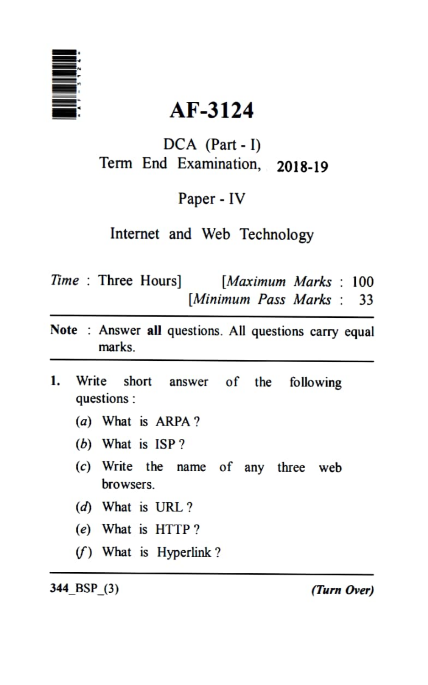

# AF-3124

DCA (Part - I) Term End Examination, 2018-19

Paper - IV

Internet and Web Technology

- Time : Three Hours] [Maximum Marks : 100 [Minimum Pass Marks : 33
- Note : Answer all questions. All questions carry equal marks.
- Write short answer of the following  $\mathbf{1}$ . questions:
	- (a) What is ARPA?
	- (b) What is ISP?
	- (c) Write the name of any three web browsers.
	- $(d)$  What is URL?
	- (e)What is HTTP?
	- )What is Hyperlink?

344 BSP\_(3) (Turn Over)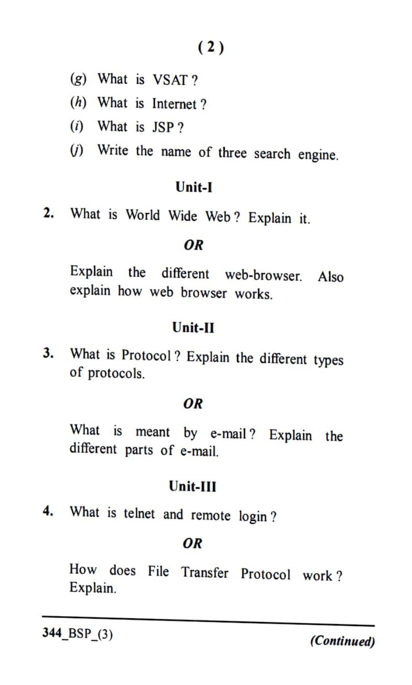(2)

(g) What is VSAT ?

(h) What is Internet ?

- $(i)$  What is JSP?
- ) Write the name of three search engine.

#### Unit-I

2. What is World Wide Web? Explain it.

#### OR

Explain the different web-browser. Also explain how web browser works.

### Unit-II

What is Protocol? Explain the different types 3. of protocols.

#### OR

What is meant by e-mail? Explain the different parts of e-mail.

#### Unit-IlI

4. What is telnet and remote login ?

#### OR

How does File Transfer Protocol work? Explain.

 $344$ <sub>\_BSP\_(3)</sub> (Continued)